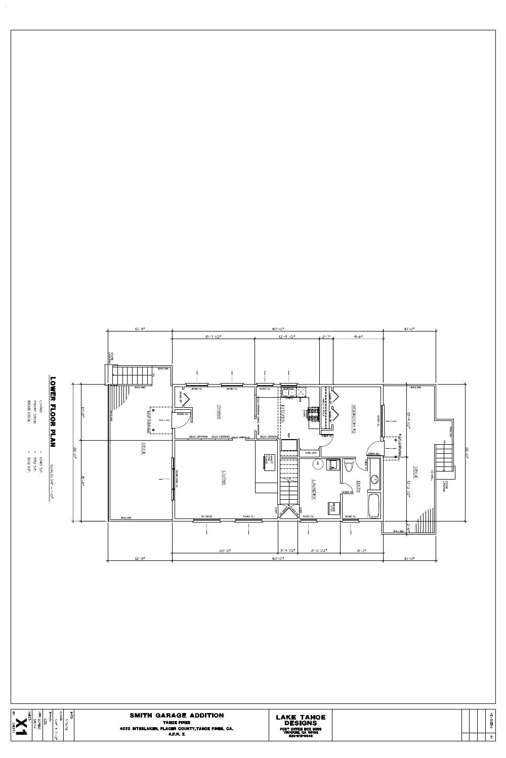

**HAON DECK<br>FAON DECK<br>REAR DECK** 

SCALE:  $\mathcal{M}^{\mathsf{u}}$  $\overline{O}$ 

## LOWER **FLOOR PLAN**



|           |           |                                  |           | RAILING   |
|-----------|-----------|----------------------------------|-----------|-----------|
|           |           |                                  |           |           |
|           |           |                                  |           |           |
|           | $2O'-O''$ | $3'-9$ $1/2"$<br>$8 - O$ $1/2$ " | $8 - 2$ " |           |
| $12'-3''$ | $4O'-O''$ |                                  |           | $IO'-O''$ |

| SMITH GARAGE ADDITION<br><b>TAHOE PINES</b><br>4070 INTERLAKEN, PLACER COUNTY, TAHOE PINES, CA. | <b>LAKE TAHOE</b><br><b>DESIGNS</b><br>POST OFFICE BOX 9899 |  |  |
|-------------------------------------------------------------------------------------------------|-------------------------------------------------------------|--|--|
| <b>A.P.N. X</b>                                                                                 | TRUCKEE, CA 96162<br>530-913-0046                           |  |  |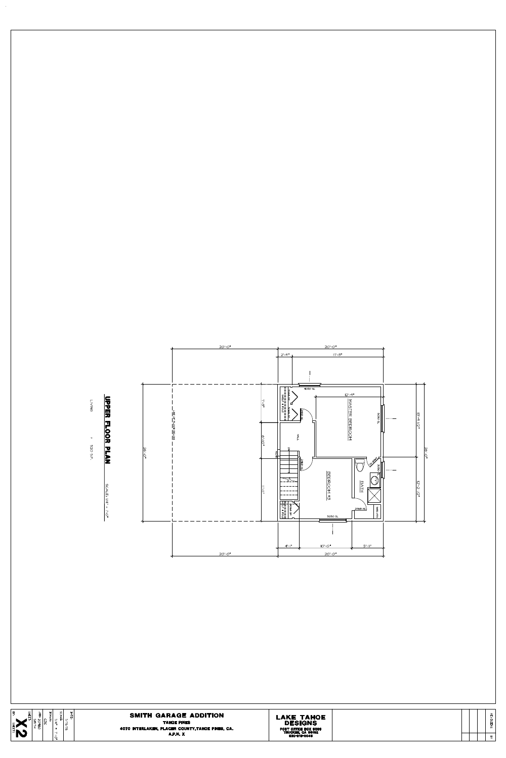**LIVING**  $\mathbf{H}$  . 520 S.F.

## UPPER FLOOR PLAN

**SCALE:** 

 $\frac{1}{4}$  =

 $\frac{1}{\sqrt{2}}$ 



|           | $4 - 1$ " | $IO'-O''$ | $5'$ - $  $ " |  |
|-----------|-----------|-----------|---------------|--|
| $2O'-O''$ | $2O'-O''$ |           |               |  |

| $\equiv$<br>エド | SMITH GARAGE ADDITION<br><b>TAHOE PINES</b><br>4070 INTERLAKEN, PLACER COUNTY, TAHOE PINES, CA. | <b>LAKE TAHOE</b><br><b>DESIGNS</b><br>POST OFFICE BOX 9899<br>TRUCKEE, CA 96162 |  |  |
|----------------|-------------------------------------------------------------------------------------------------|----------------------------------------------------------------------------------|--|--|
| N              | <b>A.P.N. X</b>                                                                                 | 530-913-0046                                                                     |  |  |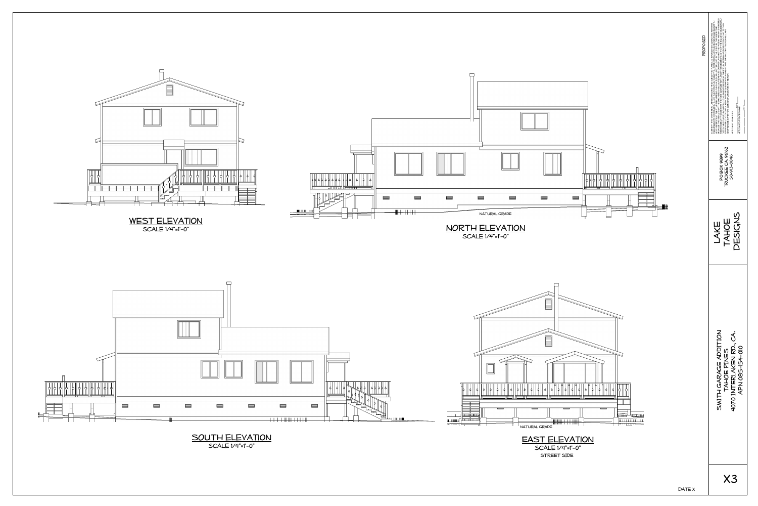